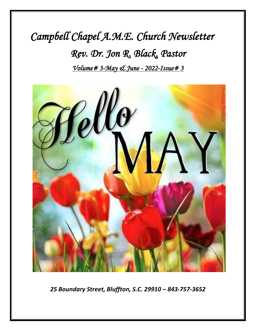# *Campbell Chapel A.M.E. Church Newsletter Rev. Dr. Jon R. Black, Pastor Volume# 3-May & June - 2022-Issue# 3*



*25 Boundary Street, Bluffton, S.C. 29910 – 843-757-3652*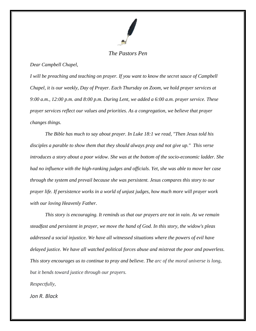

### *The Pastors Pen*

#### *Dear Campbell Chapel,*

*I will be preaching and teaching on prayer. If you want to know the secret sauce of Campbell Chapel, it is our weekly, Day of Prayer. Each Thursday on Zoom, we hold prayer services at 9:00 a.m., 12:00 p.m. and 8:00 p.m. During Lent, we added a 6:00 a.m. prayer service. These prayer services reflect our values and priorities. As a congregation, we believe that prayer changes things.*

*The Bible has much to say about prayer. In Luke 18:1 we read, "Then Jesus told his disciples a parable to show them that they should always pray and not give up." This verse introduces a story about a poor widow. She was at the bottom of the socio-economic ladder. She had no influence with the high-ranking judges and officials. Yet, she was able to move her case through the system and prevail because she was persistent. Jesus compares this story to our prayer life. If persistence works in a world of unjust judges, how much more will prayer work with our loving Heavenly Father.*

*This story is encouraging. It reminds us that our prayers are not in vain. As we remain steadfast and persistent in prayer, we move the hand of God. In this story, the widow's pleas addressed a social injustice. We have all witnessed situations where the powers of evil have delayed justice. We have all watched political forces abuse and mistreat the poor and powerless. This story encourages us to continue to pray and believe. The arc of the moral universe is long, but it bends toward justice through our prayers.*

*Respectfully,*

*Jon R. Black*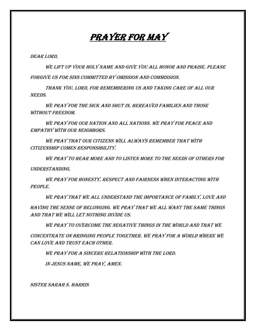# Prayer for May

DEAR LORD,

WE LIFT UP YOUR HOLY NAME AND GIVE YOU ALL HONOR AND PRAISE. PLEASE forgive us for sins committed by omission and commission.

Thank you, Lord, for remembering us and taking care of all our NEEDS.

We pray for the sick and shut in, bereaved families and those without freedom.

We pray for our nation and all nations. We pray for peace and empathy with our neighbors.

We pray that our citizens will always remember that with citizenship comes responsibility.

We pray to hear more and to listen more to the needs of others for understanding.

We pray for honesty, respect and fairness when interacting with people.

We pray that we all understand the importance of family, love and having the sense of belonging. We pray that we all want the same things and that we will let nothing divide us.

We pray to overcome the negative things in the world and that we

concentrate on bringing people together. We pray for a world where we can love and trust each other.

We pray for a sincere relationship with the Lord.

In Jesus Name, we pray, Amen.

Sister Sarah S. Harris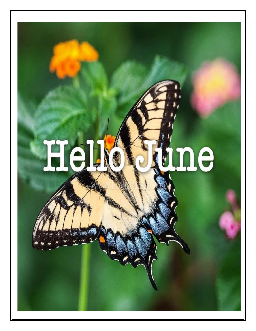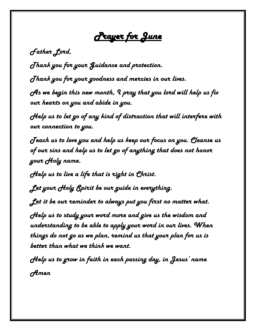*Prayer for June* 

*Father Lord,*

*Thank you for your Guidance and protection.*

*Thank you for your goodness and mercies in our lives.*

*As we begin this new month, I pray that you lord will help us fix our hearts on you and abide in you.*

*Help us to let go of any kind of distraction that will interfere with our connection to you.*

*Teach us to love you and help us keep our focus on you. Cleanse us of our sins and help us to let go of anything that does not honor your Holy name.* 

*Help us to live a life that is right in Christ.*

*Let your Holy Spirit be our guide in everything.*

*Let it be our reminder to always put you first no matter what.*

*Help us to study your word more and give us the wisdom and understanding to be able to apply your word in our lives. When things do not go as we plan, remind us that your plan for us is better than what we think we want.*

*Help us to grow in faith in each passing day, in Jesus' name Amen*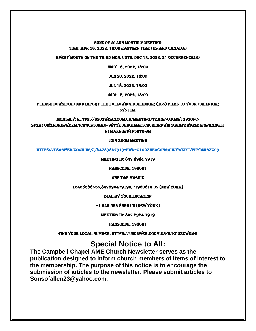#### Sons of Allen Monthly Meeting Time: Apr 18, 2022, 18:00 Eastern Time (US and Canada)

Every month on the Third Mon, until Dec 18, 2023, 21 occurrence(s)

#### May 16, 2022, 18:00

Jun 20, 2022, 18:00

Jul 18, 2022, 18:00

Aug 15, 2022, 18:00

Please download and import the following iCalendar (.ics) files to your calendar system.

Monthly: https://us02web.zoom.us/meeting/tZAqf-CgqjwjG92ofCsF2a1OwZmJrKPVxZm/ics?icsToken=98tyKuGsqTMjEtCSuRiORpwIB4qgXfzwiGZEjfoPkxnGTj N1MAKnGfV4P5htO-jm

#### Join Zoom Meeting

<https://us02web.zoom.us/j/84789847919?pwd=c1g0ZnE3cGNRQUdyWkdtVFhydmI2Zz09>

Meeting ID: 847 8984 7919

Passcode: 198081

**ONE TAP MOBILE** 

16465588656,84789847919#, \*198081# US (New York)

Dial by your location

+1 646 558 8656 US (New York)

Meeting ID: 847 8984 7919

Passcode: 198081

Find your local number: https://us02web.zoom.us/u/kcUzzWrmg

# **Special Notice to All:**

**The Campbell Chapel AME Church Newsletter serves as the publication designed to inform church members of items of interest to the membership. The purpose of this notice is to encourage the submission of articles to the newsletter. Please submit articles to Sonsofallen23@yahoo.com.**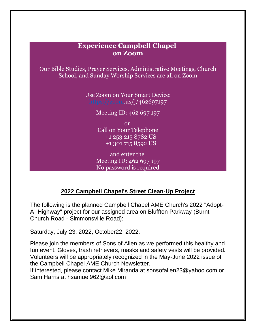# **Experience Campbell Chapel on Zoom**

Our Bible Studies, Prayer Services, Administrative Meetings, Church School, and Sunday Worship Services are all on Zoom

> Use Zoom on Your Smart Device: [https://zoom.](https://zoom/)us/j/462697197

> > Meeting ID: 462 697 197

or Call on Your Telephone +1 253 215 8782 US +1 301 715 8592 US

and enter the Meeting ID: 462 697 197 No password is required

# **2022 Campbell Chapel's Street Clean-Up Project**

The following is the planned Campbell Chapel AME Church's 2022 "Adopt-A- Highway" project for our assigned area on Bluffton Parkway (Burnt Church Road - Simmonsville Road):

Saturday, July 23, 2022, October22, 2022.

Please join the members of Sons of Allen as we performed this healthy and fun event. Gloves, trash retrievers, masks and safety vests will be provided. Volunteers will be appropriately recognized in the May-June 2022 issue of the Campbell Chapel AME Church Newsletter.

If interested, please contact Mike Miranda at sonsofallen23@yahoo.com or Sam Harris at hsamuel962@aol.com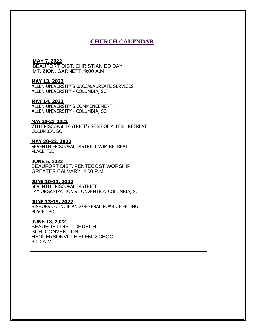#### **CHURCH CALENDAR**

#### **MAY 7, 2022**

BEAUFORT DIST. CHRISTIAN ED DAY MT. ZION, GARNETT, 9:00 A.M.

#### **MAY 13, 2022**

ALLEN UNIVERSITY'S BACCALAUREATE SERVICES ALLEN UNIVERSITY - COLUMBIA, SC

#### **MAY 14, 2022**

ALLEN UNIVERSITY'S COMMENCEMENT ALLEN UNIVERSITY - COLUMBIA, SC

#### **MAY 20-21, 2022**

7TH EPISCOPAL DISTRICT'S SONS OF ALLEN RETREAT COLUMBIA, SC

#### **MAY 20-22, 2022**

SEVENTH EPISCOPAL DISTRICT WIM RETREAT PLACE TBD

#### **JUNE 5, 2022**

BEAUFORT DIST. PENTECOST WORSHIP GREATER CALVARY, 4:00 P.M.

#### **JUNE 10-11, 2022**

SEVENTH EPISCOPAL DISTRICT LAY ORGANIZATION'S CONVENTION COLUMBIA, SC

#### **JUNE 13-15, 2022**

BISHOPS COUNCIL AND GENERAL BOARD MEETING PLACE TBD

**\_\_\_\_\_\_\_\_\_\_\_\_\_\_\_\_\_\_\_\_\_\_\_\_\_\_\_\_\_\_\_\_\_\_\_\_\_\_\_\_\_\_\_\_\_\_\_\_\_\_\_\_\_**

#### **JUNE 18, 2022**

BEAUFORT DIST. CHURCH SCH. CONVENTION HENDERSONVILLE ELEM. SCHOOL, 9:00 A.M.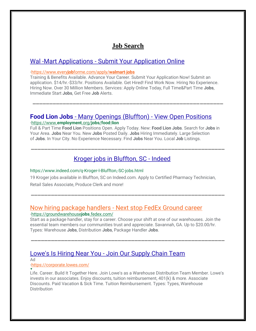# **Job Search**

# Wal -Mart Applications - [Submit Your Application Online](https://www.google.com/aclk?sa=l&ai=CkOgXsWkNYrqND8e9owbSj5-oDb7Rg-9h3OH4rcUJmPKKlxkIABACIK2Z9hEoB2DJzrqM2KTwD6AB0dan7gPIAQHIAxuqBFNP0BoHZ8iuOlxMNoQDvvDwCeDLTMvixBXXQHcSlQWmxIOpc3pdokn4pMrNrb7FNs2EiSSYwLMhvGwdJV8yfbXGamiPo-6KSCDiDTy5AcgUVGuoTcAE2oKs8pACoAZmgAeC2Y8YiAcBkAcCqAfU0huoB6a-G6gHuZqxAqgH89EbqAfu0huoB_-csQKoB8rcG6gHjtsbsAgF0ggLEAIgBDICgEA6AQCxCbjMVfwqEL8HuQlg1pVPX6cr4_gJAZgLAbgMAegMA4gUCsgUm--gz7OXuPEq0BUBmBYB-BYBgBcBkhcIEgYIARADGHA&ae=2&sig=AOD64_1ugUqVY7t1ZXkarJOIpTHBKpLh5w&adurl=https://www.everyjobforme.com/%3FasID%3DWalmart%26creative%3D354156159336%26matchtype%3De%26network%3Ds%26mobile%3D%26placement%3D%26aceid%3D%26pos%3D%26kw%3Dwalmart%2520com%2520jobs%26vtcid%3D197574432%26vtagid%3D73254240602%26vttid%3Dkwd-6759299352%26vtlpid%3D9010730%26device%3Dc%26creative%3D354156159336&q=)

#### **·**[https://www.every](https://www.google.com/aclk?sa=l&ai=CkOgXsWkNYrqND8e9owbSj5-oDb7Rg-9h3OH4rcUJmPKKlxkIABACIK2Z9hEoB2DJzrqM2KTwD6AB0dan7gPIAQHIAxuqBFNP0BoHZ8iuOlxMNoQDvvDwCeDLTMvixBXXQHcSlQWmxIOpc3pdokn4pMrNrb7FNs2EiSSYwLMhvGwdJV8yfbXGamiPo-6KSCDiDTy5AcgUVGuoTcAE2oKs8pACoAZmgAeC2Y8YiAcBkAcCqAfU0huoB6a-G6gHuZqxAqgH89EbqAfu0huoB_-csQKoB8rcG6gHjtsbsAgF0ggLEAIgBDICgEA6AQCxCbjMVfwqEL8HuQlg1pVPX6cr4_gJAZgLAbgMAegMA4gUCsgUm--gz7OXuPEq0BUBmBYB-BYBgBcBkhcIEgYIARADGHA&ae=2&sig=AOD64_1ugUqVY7t1ZXkarJOIpTHBKpLh5w&adurl=https://www.everyjobforme.com/%3FasID%3DWalmart%26creative%3D354156159336%26matchtype%3De%26network%3Ds%26mobile%3D%26placement%3D%26aceid%3D%26pos%3D%26kw%3Dwalmart%2520com%2520jobs%26vtcid%3D197574432%26vtagid%3D73254240602%26vttid%3Dkwd-6759299352%26vtlpid%3D9010730%26device%3Dc%26creative%3D354156159336&q=)**job**forme.com/apply/**walmart**-**jobs**

Training & Benefits Available. Advance Your Career. Submit Your Application Now! Submit an application. \$14/hr.-\$33/hr. Positions Available. Get Hired! Find Work Now. Hiring No Experience. Hiring Now. Over 30 Million Members. Services: Apply Online Today, Full Time&Part Time **Jobs**, Immediate Start **Jobs**, Get Free **Job** Alerts.

\_\_\_\_\_\_\_\_\_\_\_\_\_\_\_\_\_\_\_\_\_\_\_\_\_\_\_\_\_\_\_\_\_\_\_\_\_\_\_\_\_\_\_\_\_\_\_\_\_\_\_\_\_\_\_\_\_

#### **Food Lion Jobs** - [Many Openings \(Bluffton\) -](https://www.google.com/aclk?sa=l&ai=C5Z-HBGoNYsDjDeGToPwPh8S2uAHmzPScXd3Shp-0Cp3-zZkECAAQAyCtmfYRKAdgyc66jNik8A-gAbDl-fECyAEByAMbqgRVT9CaX-TzRbWu4G8lRiCccz65nxy3trK5X9xIHXMki94HkpYFFUHvTn1-yLzADu4ypQzK-yOFkGObMYk1iblcqfoCedwPhn_QGaEZlT1EQQD3wdnR7cAEqtvopsACoAZRgAe4moaOAYgHAZAHAqgH1NIbqAemvhuoB7masQKoB_PRG6gH7tIbqAf_nLECqAfK3BuwCAXSCAsQAiAEMgKAQDoBALEJFyMmYi389We5CfuhlTuww_Q2-AkBmAsBuAwB6AwDiBQC0BUBmBYB-BYBgBcBkhcJEgcIARADGI4C&ae=2&sig=AOD64_0P2T-iqGPpMvzYjs7yOzRO9PGvWw&dct=1&adurl=https://employment.org/s%3Futm_term%3DFood%2520Lion%2520Jobs%26utm_r%3D45d1cae51d596fabc4b3810d776c6d1f%253A871d67b77aca6f8b1f3e3a5807a2a184%26utm_source%3Dgoogle%26utm_medium%3Dcpc%26utm_campaign%3Dmain%26tid%3Dkwd-1127448349%26aid%3D85980753322%26placement%3D%26target%3D%26gclid%3D%7Bgclid%7D&q=) View Open Position[s](https://www.google.com/aclk?sa=l&ai=C5Z-HBGoNYsDjDeGToPwPh8S2uAHmzPScXd3Shp-0Cp3-zZkECAAQAyCtmfYRKAdgyc66jNik8A-gAbDl-fECyAEByAMbqgRVT9CaX-TzRbWu4G8lRiCccz65nxy3trK5X9xIHXMki94HkpYFFUHvTn1-yLzADu4ypQzK-yOFkGObMYk1iblcqfoCedwPhn_QGaEZlT1EQQD3wdnR7cAEqtvopsACoAZRgAe4moaOAYgHAZAHAqgH1NIbqAemvhuoB7masQKoB_PRG6gH7tIbqAf_nLECqAfK3BuwCAXSCAsQAiAEMgKAQDoBALEJFyMmYi389We5CfuhlTuww_Q2-AkBmAsBuAwB6AwDiBQC0BUBmBYB-BYBgBcBkhcJEgcIARADGI4C&ae=2&sig=AOD64_0P2T-iqGPpMvzYjs7yOzRO9PGvWw&dct=1&adurl=https://employment.org/s%3Futm_term%3DFood%2520Lion%2520Jobs%26utm_r%3D45d1cae51d596fabc4b3810d776c6d1f%253A871d67b77aca6f8b1f3e3a5807a2a184%26utm_source%3Dgoogle%26utm_medium%3Dcpc%26utm_campaign%3Dmain%26tid%3Dkwd-1127448349%26aid%3D85980753322%26placement%3D%26target%3D%26gclid%3D%7Bgclid%7D&q=) **·**[https://www.](https://www.google.com/aclk?sa=l&ai=C5Z-HBGoNYsDjDeGToPwPh8S2uAHmzPScXd3Shp-0Cp3-zZkECAAQAyCtmfYRKAdgyc66jNik8A-gAbDl-fECyAEByAMbqgRVT9CaX-TzRbWu4G8lRiCccz65nxy3trK5X9xIHXMki94HkpYFFUHvTn1-yLzADu4ypQzK-yOFkGObMYk1iblcqfoCedwPhn_QGaEZlT1EQQD3wdnR7cAEqtvopsACoAZRgAe4moaOAYgHAZAHAqgH1NIbqAemvhuoB7masQKoB_PRG6gH7tIbqAf_nLECqAfK3BuwCAXSCAsQAiAEMgKAQDoBALEJFyMmYi389We5CfuhlTuww_Q2-AkBmAsBuAwB6AwDiBQC0BUBmBYB-BYBgBcBkhcJEgcIARADGI4C&ae=2&sig=AOD64_0P2T-iqGPpMvzYjs7yOzRO9PGvWw&adurl=https://employment.org/s%3Futm_term%3DFood%2520Lion%2520Jobs%26utm_r%3D45d1cae51d596fabc4b3810d776c6d1f%253A871d67b77aca6f8b1f3e3a5807a2a184%26utm_source%3Dgoogle%26utm_medium%3Dcpc%26utm_campaign%3Dmain%26tid%3Dkwd-1127448349%26aid%3D85980753322%26placement%3D%26target%3D%26gclid%3D%7Bgclid%7D&q=)**employment**.org/**jobs**/**food**-**lion**

Full & Part Time **Food Lion** Positions Open. Apply Today. New: **Food Lion Jobs**. Search for **Jobs** in Your Area. **Jobs** Near You. New **Jobs** Posted Daily. **Jobs** Hiring Immediately. Large Selection of **Jobs**. In Your City. No Experience Necessary. Find **Jobs** Near You. Local **Job** Listings.

\_\_\_\_\_\_\_\_\_\_\_\_\_\_\_\_\_\_\_\_\_\_\_\_\_\_\_\_\_\_\_\_\_\_\_\_\_\_\_\_\_\_\_\_\_\_\_\_\_\_\_\_\_\_\_\_\_[\\_](https://www.indeed.com/q-Kroger-l-Bluffton,-SC-jobs.html)

# [Kroger jobs in Bluffton, SC -](https://www.indeed.com/q-Kroger-l-Bluffton,-SC-jobs.html) Indeed

#### https://www.indeed.com/q-Kroger-l-Bluffton,-SC-jobs.html

19 Kroger jobs available in Bluffton, SC on Indeed.com. Apply to Certified Pharmacy Technician, Retail Sales Associate, Produce Clerk and more!

\_\_\_\_\_\_\_\_\_\_\_\_\_\_\_\_\_\_\_\_\_\_\_\_\_\_\_\_\_\_\_\_\_\_\_\_\_\_\_\_\_\_\_\_\_\_\_\_\_\_\_\_\_\_\_\_\_\_

# Now hiring package handlers - [Next stop FedEx Ground career](https://www.google.com/aclk?sa=l&ai=CFYgm92oNYuGbKo2UogaC4KG4B4L1u7to_Z2v2IYPr6vF27UKCAAQBCCtmfYRKAdgyc66jNik8A-gAe2y158DyAEByAMbqgRZT9BNMUuxUCLziBPbtM84sWBVssGVnd_WHbL332m885OOB_49mzGvRVcCs2VJEDWGHXtYKPiT-1kO99AwwePEyLtkm_o4RMS07WH7c4I3Qa36V9LNsmcs8L_ABNq48vX1A6AGUYAH-8yoYIgHAZAHAqgH1NIbqAemvhuoB7masQKoB_PRG6gH7tIbqAf_nLECqAfK3BuwCAXSCAsQAiAEMgKAQDoBALEJA6eLtb8Q7nG5CQOni7W_EO5x-AkBmAsBuAwB6AwD0BUBmBYB-BYBgBcBkhcJEgcIARADGM8B&ae=2&sig=AOD64_3SkF-7wlJT0T6NrpdUB810B1cElw&adurl=https://groundwarehousejobs.fedex.com/groundwarehousejobs/jobs%3Flocation%3DPooler,%2520GA%26stretch%3D0%26stretchUnit%3DMILES%26woe%3D7%26src%3Dgooglebrand&q=)

**·**[https://groundwarehouse](https://www.google.com/aclk?sa=l&ai=CFYgm92oNYuGbKo2UogaC4KG4B4L1u7to_Z2v2IYPr6vF27UKCAAQBCCtmfYRKAdgyc66jNik8A-gAe2y158DyAEByAMbqgRZT9BNMUuxUCLziBPbtM84sWBVssGVnd_WHbL332m885OOB_49mzGvRVcCs2VJEDWGHXtYKPiT-1kO99AwwePEyLtkm_o4RMS07WH7c4I3Qa36V9LNsmcs8L_ABNq48vX1A6AGUYAH-8yoYIgHAZAHAqgH1NIbqAemvhuoB7masQKoB_PRG6gH7tIbqAf_nLECqAfK3BuwCAXSCAsQAiAEMgKAQDoBALEJA6eLtb8Q7nG5CQOni7W_EO5x-AkBmAsBuAwB6AwD0BUBmBYB-BYBgBcBkhcJEgcIARADGM8B&ae=2&sig=AOD64_3SkF-7wlJT0T6NrpdUB810B1cElw&adurl=https://groundwarehousejobs.fedex.com/groundwarehousejobs/jobs%3Flocation%3DPooler,%2520GA%26stretch%3D0%26stretchUnit%3DMILES%26woe%3D7%26src%3Dgooglebrand&q=)**jobs**.fedex.com/

Start as a package handler, stay for a career. Choose your shift at one of our warehouses. Join the essential team members our communities trust and appreciate. Savannah, GA. Up to \$20.00/hr. Types: Warehouse **Jobs**, Distribution **Jobs**, Package Handler **Jobs**.

\_\_\_\_\_\_\_\_\_\_\_\_\_\_\_\_\_\_\_\_\_\_\_\_\_\_\_\_\_\_\_\_\_\_\_\_\_\_\_\_\_\_\_\_\_\_\_\_\_\_\_\_\_\_\_\_\_\_

# Lowe's Is Hiring Near You - [Join Our Supply Chain Team](https://www.google.com/aclk?sa=l&ai=CbVEU92oNYuGbKo2UogaC4KG4B6TpnL5oqqbc68APvIaR174JCAAQBSCtmfYRKAdgyc66jNik8A-gAdn2pZ0CyAEByAMbqgRZT9BdYUSxUSLziBPbtM84sQcgrL-Und_WHbL332m885OOC_69etckBmRA0WVJD_10YXtYKPiT-1lI9PwiweP35Yxim_o4RMS07WHIXrUxQa36V9LN9GQA4r_ABMKMvODzA6AGUYAHj4na4gGIBwGQBwKoB9TSG6gHpr4bqAe5mrECqAfz0RuoB-7SG6gH_5yxAqgHytwbsAgF0ggLEAIgBDICgEA6AQCxCQwFCuafPjPBuQkMBQrmnz4zwfgJAZgLAbgMAegMA9AVAZgWAfgWAYAXAZIXCRIHCAEQAxjPAQ&ae=2&sig=AOD64_3RjCP4PnS8uk-HgEC7hWeKbhm_yw&adurl=https://corporate.lowes.com/careers%3Futm_source%3DGoogle%26utm_medium%3Dcpc%26utm_campaign%3DSupplyChainSupportPortWentworthGA&q=)

Ad

**·**[https://corporate.lowes.com/](https://www.google.com/aclk?sa=l&ai=CbVEU92oNYuGbKo2UogaC4KG4B6TpnL5oqqbc68APvIaR174JCAAQBSCtmfYRKAdgyc66jNik8A-gAdn2pZ0CyAEByAMbqgRZT9BdYUSxUSLziBPbtM84sQcgrL-Und_WHbL332m885OOC_69etckBmRA0WVJD_10YXtYKPiT-1lI9PwiweP35Yxim_o4RMS07WHIXrUxQa36V9LN9GQA4r_ABMKMvODzA6AGUYAHj4na4gGIBwGQBwKoB9TSG6gHpr4bqAe5mrECqAfz0RuoB-7SG6gH_5yxAqgHytwbsAgF0ggLEAIgBDICgEA6AQCxCQwFCuafPjPBuQkMBQrmnz4zwfgJAZgLAbgMAegMA9AVAZgWAfgWAYAXAZIXCRIHCAEQAxjPAQ&ae=2&sig=AOD64_3RjCP4PnS8uk-HgEC7hWeKbhm_yw&adurl=https://corporate.lowes.com/careers%3Futm_source%3DGoogle%26utm_medium%3Dcpc%26utm_campaign%3DSupplyChainSupportPortWentworthGA&q=)

▼ Life. Career. Build It Together Here. Join Lowe's as a Warehouse Distribution Team Member. Lowe's invests in our associates. Enjoy discounts, tuition reimbursement, 401(k) & more. Associate Discounts. Paid Vacation & Sick Time. Tuition Reimbursement. Types: Types, Warehouse **Distribution**